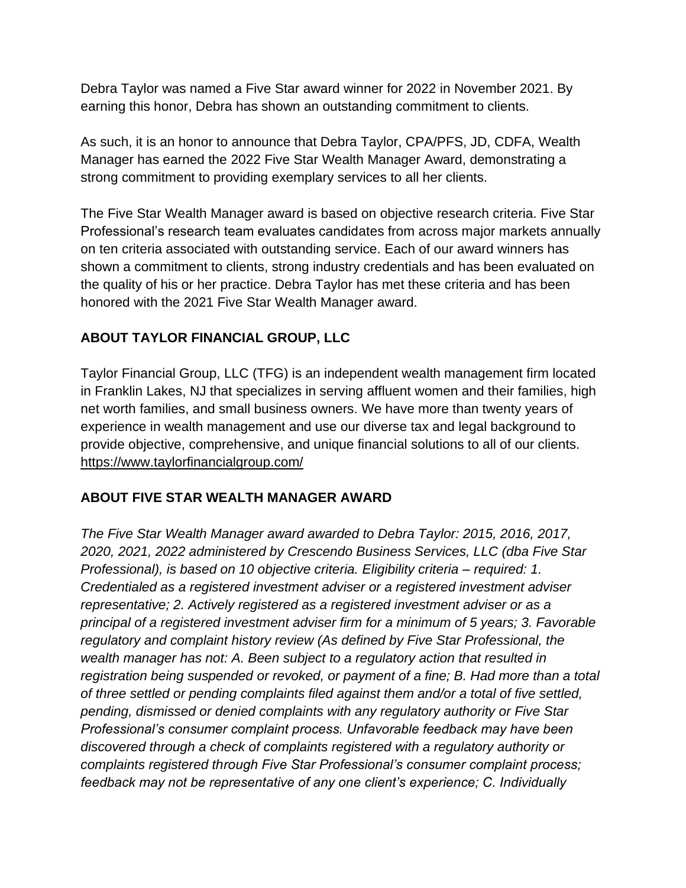Debra Taylor was named a Five Star award winner for 2022 in November 2021. By earning this honor, Debra has shown an outstanding commitment to clients.

As such, it is an honor to announce that Debra Taylor, CPA/PFS, JD, CDFA, Wealth Manager has earned the 2022 Five Star Wealth Manager Award, demonstrating a strong commitment to providing exemplary services to all her clients.

The Five Star Wealth Manager award is based on objective research criteria. Five Star Professional's research team evaluates candidates from across major markets annually on ten criteria associated with outstanding service. Each of our award winners has shown a commitment to clients, strong industry credentials and has been evaluated on the quality of his or her practice. Debra Taylor has met these criteria and has been honored with the 2021 Five Star Wealth Manager award.

## **ABOUT TAYLOR FINANCIAL GROUP, LLC**

Taylor Financial Group, LLC (TFG) is an independent wealth management firm located in Franklin Lakes, NJ that specializes in serving affluent women and their families, high net worth families, and small business owners. We have more than twenty years of experience in wealth management and use our diverse tax and legal background to provide objective, comprehensive, and unique financial solutions to all of our clients. <https://www.taylorfinancialgroup.com/>

## **ABOUT FIVE STAR WEALTH MANAGER AWARD**

*The Five Star Wealth Manager award awarded to Debra Taylor: 2015, 2016, 2017, 2020, 2021, 2022 administered by Crescendo Business Services, LLC (dba Five Star Professional), is based on 10 objective criteria. Eligibility criteria – required: 1. Credentialed as a registered investment adviser or a registered investment adviser representative; 2. Actively registered as a registered investment adviser or as a principal of a registered investment adviser firm for a minimum of 5 years; 3. Favorable regulatory and complaint history review (As defined by Five Star Professional, the wealth manager has not: A. Been subject to a regulatory action that resulted in registration being suspended or revoked, or payment of a fine; B. Had more than a total of three settled or pending complaints filed against them and/or a total of five settled, pending, dismissed or denied complaints with any regulatory authority or Five Star Professional's consumer complaint process. Unfavorable feedback may have been discovered through a check of complaints registered with a regulatory authority or complaints registered through Five Star Professional's consumer complaint process; feedback may not be representative of any one client's experience; C. Individually*